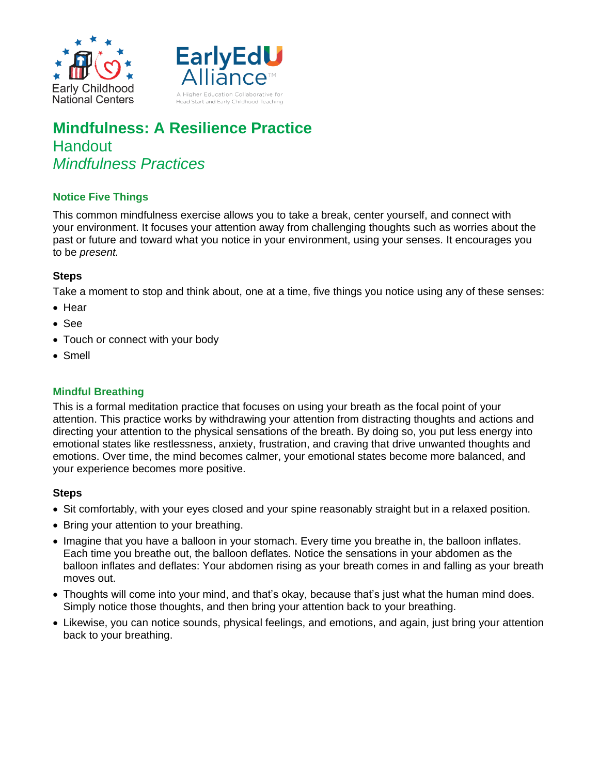



# **Mindfulness: A Resilience Practice Handout** *Mindfulness Practices*

# **Notice Five Things**

This common mindfulness exercise allows you to take a break, center yourself, and connect with your environment. It focuses your attention away from challenging thoughts such as worries about the past or future and toward what you notice in your environment, using your senses. It encourages you to be *present.*

## **Steps**

Take a moment to stop and think about, one at a time, five things you notice using any of these senses:

- $\bullet$  Hear
- See
- Touch or connect with your body
- Smell

## **Mindful Breathing**

This is a formal meditation practice that focuses on using your breath as the focal point of your attention. This practice works by withdrawing your attention from distracting thoughts and actions and directing your attention to the physical sensations of the breath. By doing so, you put less energy into emotional states like restlessness, anxiety, frustration, and craving that drive unwanted thoughts and emotions. Over time, the mind becomes calmer, your emotional states become more balanced, and your experience becomes more positive.

## **Steps**

- Sit comfortably, with your eyes closed and your spine reasonably straight but in a relaxed position.
- Bring your attention to your breathing.
- Imagine that you have a balloon in your stomach. Every time you breathe in, the balloon inflates. Each time you breathe out, the balloon deflates. Notice the sensations in your abdomen as the balloon inflates and deflates: Your abdomen rising as your breath comes in and falling as your breath moves out.
- Thoughts will come into your mind, and that's okay, because that's just what the human mind does. Simply notice those thoughts, and then bring your attention back to your breathing.
- Likewise, you can notice sounds, physical feelings, and emotions, and again, just bring your attention back to your breathing.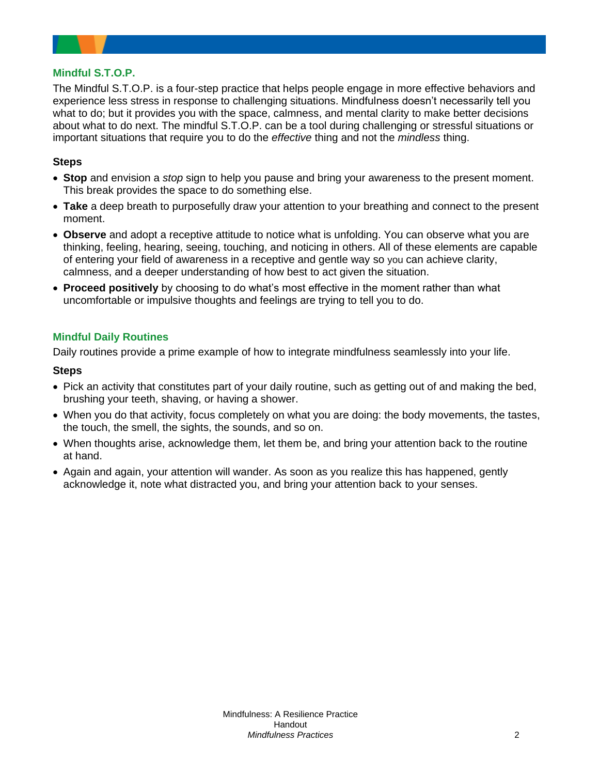## **Mindful S.T.O.P.**

The Mindful S.T.O.P. is a four-step practice that helps people engage in more effective behaviors and experience less stress in response to challenging situations. Mindfulness doesn't necessarily tell you what to do; but it provides you with the space, calmness, and mental clarity to make better decisions about what to do next. The mindful S.T.O.P. can be a tool during challenging or stressful situations or important situations that require you to do the *effective* thing and not the *mindless* thing.

## **Steps**

- **Stop** and envision a *stop* sign to help you pause and bring your awareness to the present moment. This break provides the space to do something else.
- **Take** a deep breath to purposefully draw your attention to your breathing and connect to the present moment.
- **Observe** and adopt a receptive attitude to notice what is unfolding. You can observe what you are thinking, feeling, hearing, seeing, touching, and noticing in others. All of these elements are capable of entering your field of awareness in a receptive and gentle way so you can achieve clarity, calmness, and a deeper understanding of how best to act given the situation.
- **Proceed positively** by choosing to do what's most effective in the moment rather than what uncomfortable or impulsive thoughts and feelings are trying to tell you to do.

## **Mindful Daily Routines**

Daily routines provide a prime example of how to integrate mindfulness seamlessly into your life.

#### **Steps**

- Pick an activity that constitutes part of your daily routine, such as getting out of and making the bed, brushing your teeth, shaving, or having a shower.
- When you do that activity, focus completely on what you are doing: the body movements, the tastes, the touch, the smell, the sights, the sounds, and so on.
- When thoughts arise, acknowledge them, let them be, and bring your attention back to the routine at hand.
- Again and again, your attention will wander. As soon as you realize this has happened, gently acknowledge it, note what distracted you, and bring your attention back to your senses.